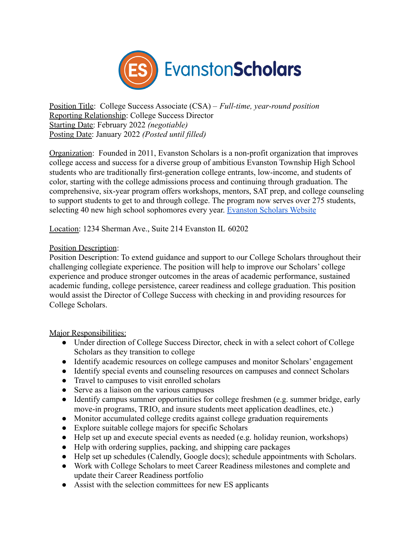

Position Title: College Success Associate (CSA) – *Full-time, year-round position* Reporting Relationship: College Success Director Starting Date: February 2022 *(negotiable)* Posting Date: January 2022 *(Posted until filled)*

Organization: Founded in 2011, Evanston Scholars is a non-profit organization that improves college access and success for a diverse group of ambitious Evanston Township High School students who are traditionally first-generation college entrants, low-income, and students of color, starting with the college admissions process and continuing through graduation. The comprehensive, six-year program offers workshops, mentors, SAT prep, and college counseling to support students to get to and through college. The program now serves over 275 students, selecting 40 new high school sophomores every year. [Evanston Scholars Website](http://www.evanstonscholars.org/)

Location: 1234 Sherman Ave., Suite 214 Evanston IL 60202

## Position Description:

Position Description: To extend guidance and support to our College Scholars throughout their challenging collegiate experience. The position will help to improve our Scholars' college experience and produce stronger outcomes in the areas of academic performance, sustained academic funding, college persistence, career readiness and college graduation. This position would assist the Director of College Success with checking in and providing resources for College Scholars.

Major Responsibilities:

- Under direction of College Success Director, check in with a select cohort of College Scholars as they transition to college
- Identify academic resources on college campuses and monitor Scholars' engagement
- Identify special events and counseling resources on campuses and connect Scholars
- Travel to campuses to visit enrolled scholars
- Serve as a liaison on the various campuses
- Identify campus summer opportunities for college freshmen (e.g. summer bridge, early move-in programs, TRIO, and insure students meet application deadlines, etc.)
- Monitor accumulated college credits against college graduation requirements
- Explore suitable college majors for specific Scholars
- Help set up and execute special events as needed (e.g. holiday reunion, workshops)
- Help with ordering supplies, packing, and shipping care packages
- Help set up schedules (Calendly, Google docs); schedule appointments with Scholars.
- Work with College Scholars to meet Career Readiness milestones and complete and update their Career Readiness portfolio
- Assist with the selection committees for new ES applicants